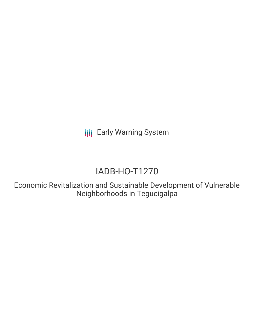**III** Early Warning System

## IADB-HO-T1270

Economic Revitalization and Sustainable Development of Vulnerable Neighborhoods in Tegucigalpa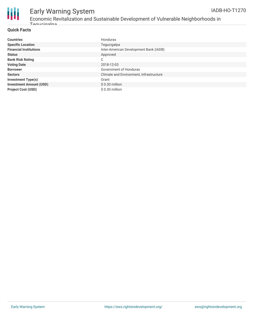

## Early Warning System

#### Economic Revitalization and Sustainable Development of Vulnerable Neighborhoods in Teguciaalpa

#### **Quick Facts**

| <b>Countries</b>               | Honduras                                |
|--------------------------------|-----------------------------------------|
| <b>Specific Location</b>       | Tegucigalpa                             |
| <b>Financial Institutions</b>  | Inter-American Development Bank (IADB)  |
| <b>Status</b>                  | Approved                                |
| <b>Bank Risk Rating</b>        | C                                       |
| <b>Voting Date</b>             | 2018-12-03                              |
| <b>Borrower</b>                | Government of Honduras                  |
| <b>Sectors</b>                 | Climate and Environment, Infrastructure |
| <b>Investment Type(s)</b>      | Grant                                   |
| <b>Investment Amount (USD)</b> | $$0.30$ million                         |
| <b>Project Cost (USD)</b>      | \$0.30 million                          |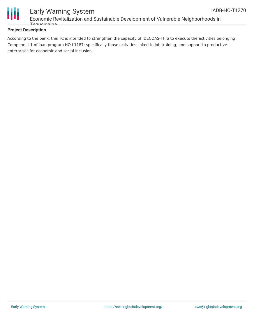

#### Early Warning System Economic Revitalization and Sustainable Development of Vulnerable Neighborhoods in Toguciaalpa

#### **Project Description**

According to the bank, this TC is intended to strengthen the capacity of IDECOAS-FHIS to execute the activities belonging Component 1 of loan program HO-L1187; specifically those activities linked to job training, and support to productive enterprises for economic and social inclusion.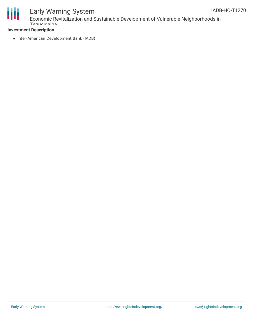

# Ш

# Early Warning System

Economic Revitalization and Sustainable Development of Vulnerable Neighborhoods in Tegucias **Tagu** 

#### **Investment Description**

• Inter-American Development Bank (IADB)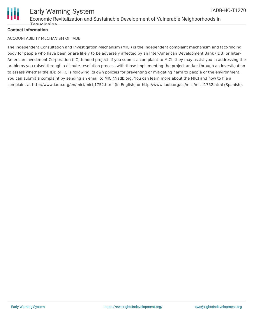

#### **Contact Information**

#### ACCOUNTABILITY MECHANISM OF IADB

The Independent Consultation and Investigation Mechanism (MICI) is the independent complaint mechanism and fact-finding body for people who have been or are likely to be adversely affected by an Inter-American Development Bank (IDB) or Inter-American Investment Corporation (IIC)-funded project. If you submit a complaint to MICI, they may assist you in addressing the problems you raised through a dispute-resolution process with those implementing the project and/or through an investigation to assess whether the IDB or IIC is following its own policies for preventing or mitigating harm to people or the environment. You can submit a complaint by sending an email to MICI@iadb.org. You can learn more about the MICI and how to file a complaint at http://www.iadb.org/en/mici/mici,1752.html (in English) or http://www.iadb.org/es/mici/mici,1752.html (Spanish).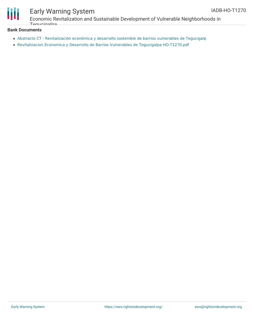

## Early Warning System

Economic Revitalization and Sustainable Development of Vulnerable Neighborhoods in Tegucias Ing

#### **Bank Documents**

- Abstracto CT [Revitalización](https://www.iadb.org/Document.cfm?id=EZSHARE-1044966895-13) económica y desarrollo sostenible de barrios vulnerables de Tegucigalp
- Revitalizacion Economica y Desarrollo de Barrios Vulnerables de Tegucigalpa [HO-T1270.pdf](https://www.iadb.org/Document.cfm?id=EZSHARE-1044966895-18)